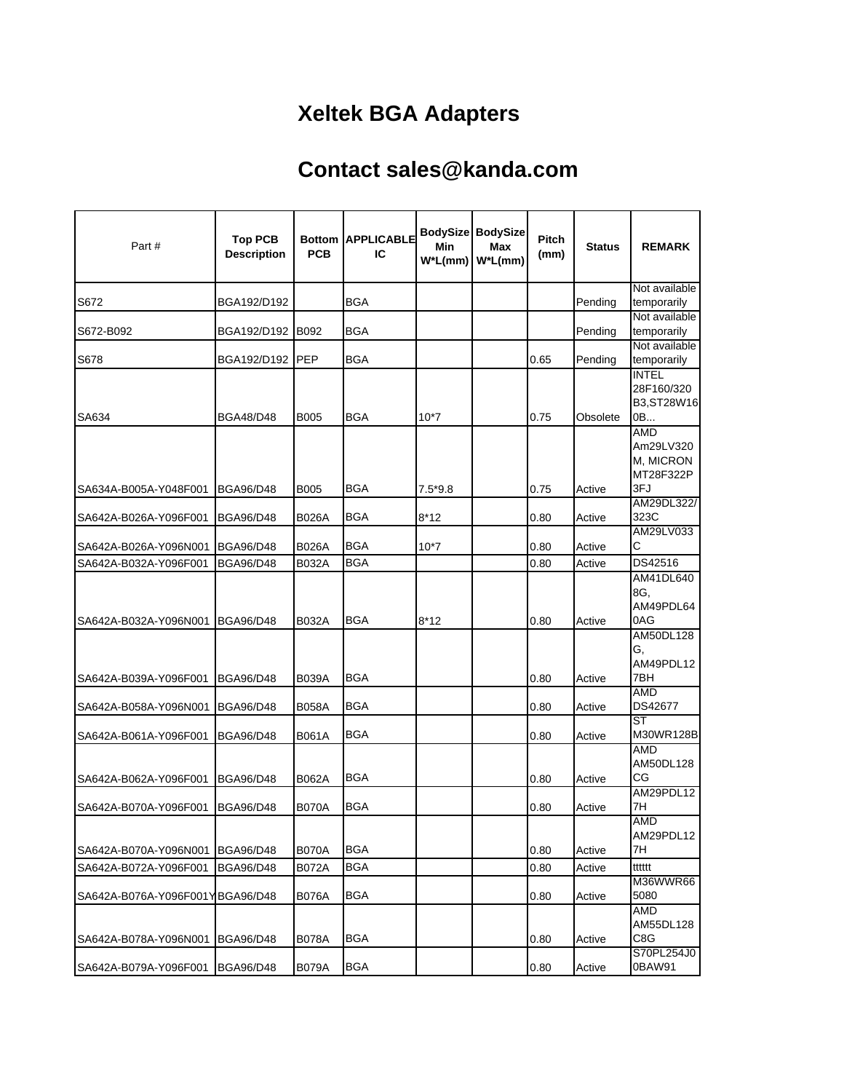## **Xeltek BGA Adapters**

## **Contact sales@kanda.com**

| Part#                           | <b>Top PCB</b><br><b>Description</b> | <b>PCB</b>   | <b>Bottom APPLICABLE</b><br>IC | Min       | <b>BodySize BodySize</b><br><b>Max</b><br>$W^*L(mm)$ W <sup>*</sup> L(mm) | <b>Pitch</b><br>(mm) | <b>Status</b> | <b>REMARK</b>                                            |
|---------------------------------|--------------------------------------|--------------|--------------------------------|-----------|---------------------------------------------------------------------------|----------------------|---------------|----------------------------------------------------------|
| S672                            | BGA192/D192                          |              | BGA                            |           |                                                                           |                      | Pending       | Not available<br>temporarily                             |
| S672-B092                       | BGA192/D192                          | <b>B092</b>  | BGA                            |           |                                                                           |                      | Pending       | Not available<br>temporarily                             |
| S678                            | BGA192/D192                          | PEP          | <b>BGA</b>                     |           |                                                                           | 0.65                 | Pending       | Not available<br>temporarily                             |
| SA634                           | <b>BGA48/D48</b>                     | <b>B005</b>  | <b>BGA</b>                     | $10*7$    |                                                                           | 0.75                 | Obsolete      | <b>INTEL</b><br>28F160/320<br>B3, ST28W16<br>0B          |
| SA634A-B005A-Y048F001           | <b>BGA96/D48</b>                     | <b>B005</b>  | BGA                            | $7.5*9.8$ |                                                                           | 0.75                 | Active        | <b>AMD</b><br>Am29LV320<br>M, MICRON<br>MT28F322P<br>3FJ |
| SA642A-B026A-Y096F001           | <b>BGA96/D48</b>                     | B026A        | BGA                            | $8*12$    |                                                                           | 0.80                 | Active        | AM29DL322/<br>323C                                       |
| SA642A-B026A-Y096N001           | <b>BGA96/D48</b>                     | <b>B026A</b> | <b>BGA</b>                     | $10*7$    |                                                                           | 0.80                 | Active        | AM29LV033<br>С                                           |
| SA642A-B032A-Y096F001           | <b>BGA96/D48</b>                     | <b>B032A</b> | <b>BGA</b>                     |           |                                                                           | 0.80                 | Active        | DS42516                                                  |
| SA642A-B032A-Y096N001           | <b>BGA96/D48</b>                     | B032A        | <b>BGA</b>                     | $8*12$    |                                                                           | 0.80                 | Active        | AM41DL640<br>8G.<br>AM49PDL64<br>0AG                     |
| SA642A-B039A-Y096F001           | <b>BGA96/D48</b>                     | <b>B039A</b> | BGA                            |           |                                                                           | 0.80                 | Active        | AM50DL128<br>G.<br>AM49PDL12<br>7BH                      |
| SA642A-B058A-Y096N001           | <b>BGA96/D48</b>                     | <b>B058A</b> | BGA                            |           |                                                                           | 0.80                 | Active        | AMD<br>DS42677                                           |
| SA642A-B061A-Y096F001           | <b>BGA96/D48</b>                     | B061A        | BGA                            |           |                                                                           | 0.80                 | Active        | <b>ST</b><br>M30WR128B                                   |
| SA642A-B062A-Y096F001           | <b>BGA96/D48</b>                     | <b>B062A</b> | BGA                            |           |                                                                           | 0.80                 | Active        | AMD<br>AM50DL128<br>CG                                   |
| SA642A-B070A-Y096F001           | BGA96/D48                            | <b>B070A</b> | BGA                            |           |                                                                           | 0.80                 | Active        | AM29PDL12<br>7H                                          |
| SA642A-B070A-Y096N001           | <b>BGA96/D48</b>                     | <b>B070A</b> | BGA                            |           |                                                                           | 0.80                 | Active        | AMD<br>AM29PDL12<br>7H                                   |
| SA642A-B072A-Y096F001           | <b>BGA96/D48</b>                     | B072A        | <b>BGA</b>                     |           |                                                                           | 0.80                 | Active        | tttttt                                                   |
| SA642A-B076A-Y096F001YBGA96/D48 |                                      | <b>B076A</b> | BGA                            |           |                                                                           | 0.80                 | Active        | M36WWR66<br>5080                                         |
| SA642A-B078A-Y096N001           | <b>BGA96/D48</b>                     | <b>B078A</b> | <b>BGA</b>                     |           |                                                                           | 0.80                 | Active        | AMD<br>AM55DL128<br>C8G<br>S70PL254J0                    |
| SA642A-B079A-Y096F001           | BGA96/D48                            | <b>B079A</b> | BGA                            |           |                                                                           | 0.80                 | Active        | 0BAW91                                                   |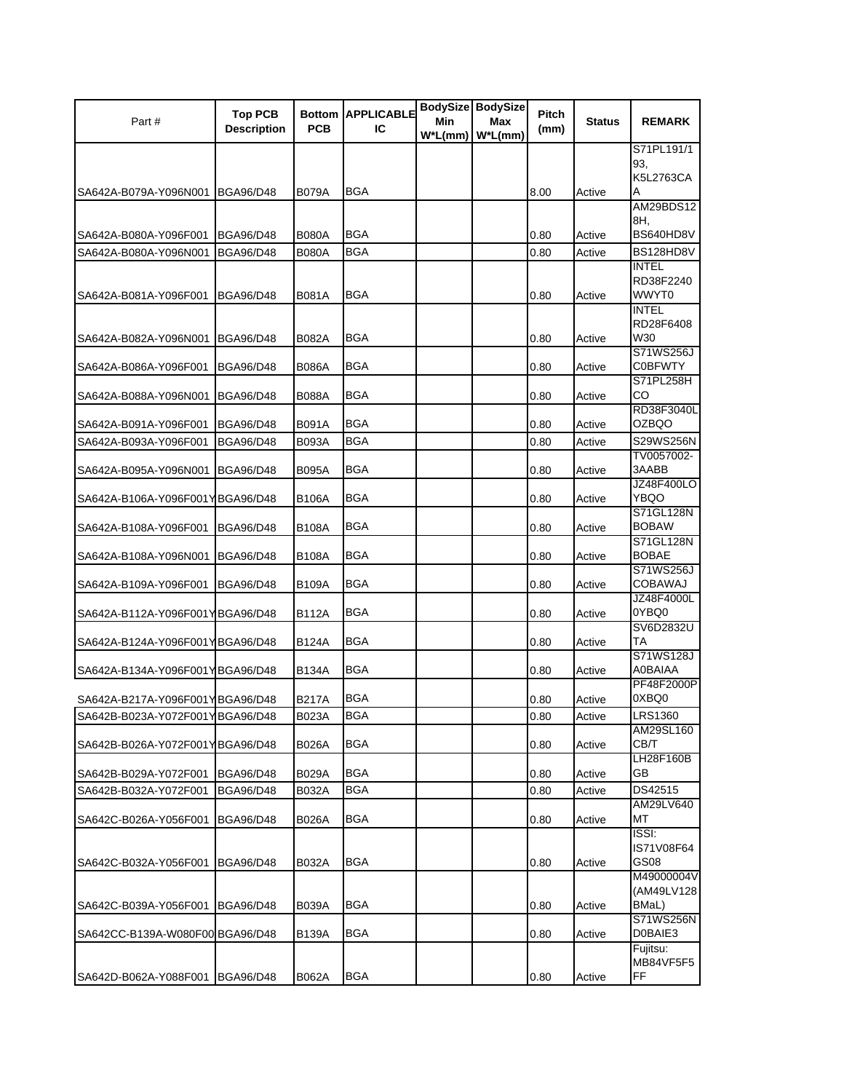| Part#                           | <b>Top PCB</b>     |              | <b>Bottom APPLICABLE</b> | Min        | <b>BodySize BodySize</b><br>Max | Pitch | <b>Status</b> | <b>REMARK</b>                |
|---------------------------------|--------------------|--------------|--------------------------|------------|---------------------------------|-------|---------------|------------------------------|
|                                 | <b>Description</b> | <b>PCB</b>   | IC                       | $W^*L(mm)$ | $W^*L(mm)$                      | (mm)  |               |                              |
|                                 |                    |              |                          |            |                                 |       |               | S71PL191/1                   |
|                                 |                    |              |                          |            |                                 |       |               | 93.                          |
| SA642A-B079A-Y096N001           | <b>BGA96/D48</b>   | B079A        | <b>BGA</b>               |            |                                 | 8.00  | Active        | K5L2763CA<br>A               |
|                                 |                    |              |                          |            |                                 |       |               | <b>AM29BDS12</b>             |
|                                 |                    |              |                          |            |                                 |       |               | 8H.                          |
| SA642A-B080A-Y096F001           | <b>BGA96/D48</b>   | <b>B080A</b> | <b>BGA</b>               |            |                                 | 0.80  | Active        | BS640HD8V                    |
| SA642A-B080A-Y096N001           | <b>BGA96/D48</b>   | <b>B080A</b> | <b>BGA</b>               |            |                                 | 0.80  | Active        | BS128HD8V                    |
|                                 |                    |              |                          |            |                                 |       |               | INTEL<br>RD38F2240           |
| SA642A-B081A-Y096F001           | <b>BGA96/D48</b>   | B081A        | <b>BGA</b>               |            |                                 | 0.80  | Active        | WWYT0                        |
|                                 |                    |              |                          |            |                                 |       |               | <b>INTEL</b>                 |
|                                 |                    |              |                          |            |                                 |       |               | RD28F6408                    |
| SA642A-B082A-Y096N001           | <b>BGA96/D48</b>   | B082A        | <b>BGA</b>               |            |                                 | 0.80  | Active        | W30<br>S71WS256J             |
| SA642A-B086A-Y096F001           | <b>BGA96/D48</b>   | <b>B086A</b> | <b>BGA</b>               |            |                                 | 0.80  | Active        | C0BFWTY                      |
|                                 |                    |              |                          |            |                                 |       |               | S71PL258H                    |
| SA642A-B088A-Y096N001           | <b>BGA96/D48</b>   | <b>B088A</b> | <b>BGA</b>               |            |                                 | 0.80  | Active        | CO                           |
|                                 |                    |              |                          |            |                                 |       |               | RD38F3040L                   |
| SA642A-B091A-Y096F001           | <b>BGA96/D48</b>   | B091A        | <b>BGA</b>               |            |                                 | 0.80  | Active        | <b>OZBQO</b>                 |
| SA642A-B093A-Y096F001           | <b>BGA96/D48</b>   | <b>B093A</b> | <b>BGA</b>               |            |                                 | 0.80  | Active        | S29WS256N<br>TV0057002-      |
| SA642A-B095A-Y096N001           | <b>BGA96/D48</b>   | <b>B095A</b> | <b>BGA</b>               |            |                                 | 0.80  | Active        | 3AABB                        |
|                                 |                    |              |                          |            |                                 |       |               | <b>JZ48F400LO</b>            |
| SA642A-B106A-Y096F001YBGA96/D48 |                    | B106A        | BGA                      |            |                                 | 0.80  | Active        | YBQO                         |
|                                 |                    |              | <b>BGA</b>               |            |                                 |       |               | S71GL128N<br><b>BOBAW</b>    |
| SA642A-B108A-Y096F001           | <b>BGA96/D48</b>   | <b>B108A</b> |                          |            |                                 | 0.80  | Active        | S71GL128N                    |
| SA642A-B108A-Y096N001           | <b>BGA96/D48</b>   | <b>B108A</b> | <b>BGA</b>               |            |                                 | 0.80  | Active        | <b>BOBAE</b>                 |
|                                 |                    |              |                          |            |                                 |       |               | S71WS256J                    |
| SA642A-B109A-Y096F001           | <b>BGA96/D48</b>   | B109A        | <b>BGA</b>               |            |                                 | 0.80  | Active        | COBAWAJ                      |
| SA642A-B112A-Y096F001YBGA96/D48 |                    | B112A        | <b>BGA</b>               |            |                                 | 0.80  | Active        | JZ48F4000L<br>0YBQ0          |
|                                 |                    |              |                          |            |                                 |       |               | SV6D2832U                    |
| SA642A-B124A-Y096F001YBGA96/D48 |                    | <b>B124A</b> | <b>BGA</b>               |            |                                 | 0.80  | Active        | ТA                           |
|                                 |                    |              |                          |            |                                 |       |               | S71WS128J                    |
| SA642A-B134A-Y096F001YBGA96/D48 |                    | <b>B134A</b> | <b>BGA</b>               |            |                                 | 0.80  | Active        | <b>A0BAIAA</b><br>PF48F2000P |
| SA642A-B217A-Y096F001YBGA96/D48 |                    | B217A        | <b>BGA</b>               |            |                                 | 0.80  | Active        | 0XBQ0                        |
| SA642B-B023A-Y072F001YBGA96/D48 |                    | <b>B023A</b> | <b>BGA</b>               |            |                                 | 0.80  | Active        | <b>LRS1360</b>               |
|                                 |                    |              |                          |            |                                 |       |               | AM29SL160                    |
| SA642B-B026A-Y072F001YBGA96/D48 |                    | <b>B026A</b> | <b>BGA</b>               |            |                                 | 0.80  | Active        | СВ/Т                         |
| SA642B-B029A-Y072F001           | <b>BGA96/D48</b>   | <b>B029A</b> | <b>BGA</b>               |            |                                 | 0.80  | Active        | LH28F160B<br>GВ              |
| SA642B-B032A-Y072F001           | <b>BGA96/D48</b>   | <b>B032A</b> | <b>BGA</b>               |            |                                 | 0.80  | Active        | DS42515                      |
|                                 |                    |              |                          |            |                                 |       |               | AM29LV640                    |
| SA642C-B026A-Y056F001           | <b>BGA96/D48</b>   | <b>B026A</b> | <b>BGA</b>               |            |                                 | 0.80  | Active        | МT                           |
|                                 |                    |              |                          |            |                                 |       |               | ISSI:                        |
|                                 |                    |              |                          |            |                                 |       |               | IS71V08F64                   |
| SA642C-B032A-Y056F001           | <b>BGA96/D48</b>   | B032A        | <b>BGA</b>               |            |                                 | 0.80  | Active        | GS08<br>M49000004V           |
|                                 |                    |              |                          |            |                                 |       |               | (AM49LV128                   |
| SA642C-B039A-Y056F001           | <b>BGA96/D48</b>   | B039A        | <b>BGA</b>               |            |                                 | 0.80  | Active        | BMaL)                        |
|                                 |                    |              |                          |            |                                 |       |               | S71WS256N                    |
| SA642CC-B139A-W080F00 BGA96/D48 |                    | <b>B139A</b> | <b>BGA</b>               |            |                                 | 0.80  | Active        | D0BAIE3<br>Fujitsu:          |
|                                 |                    |              |                          |            |                                 |       |               | MB84VF5F5                    |
| SA642D-B062A-Y088F001           | <b>BGA96/D48</b>   | <b>B062A</b> | <b>BGA</b>               |            |                                 | 0.80  | Active        | FF                           |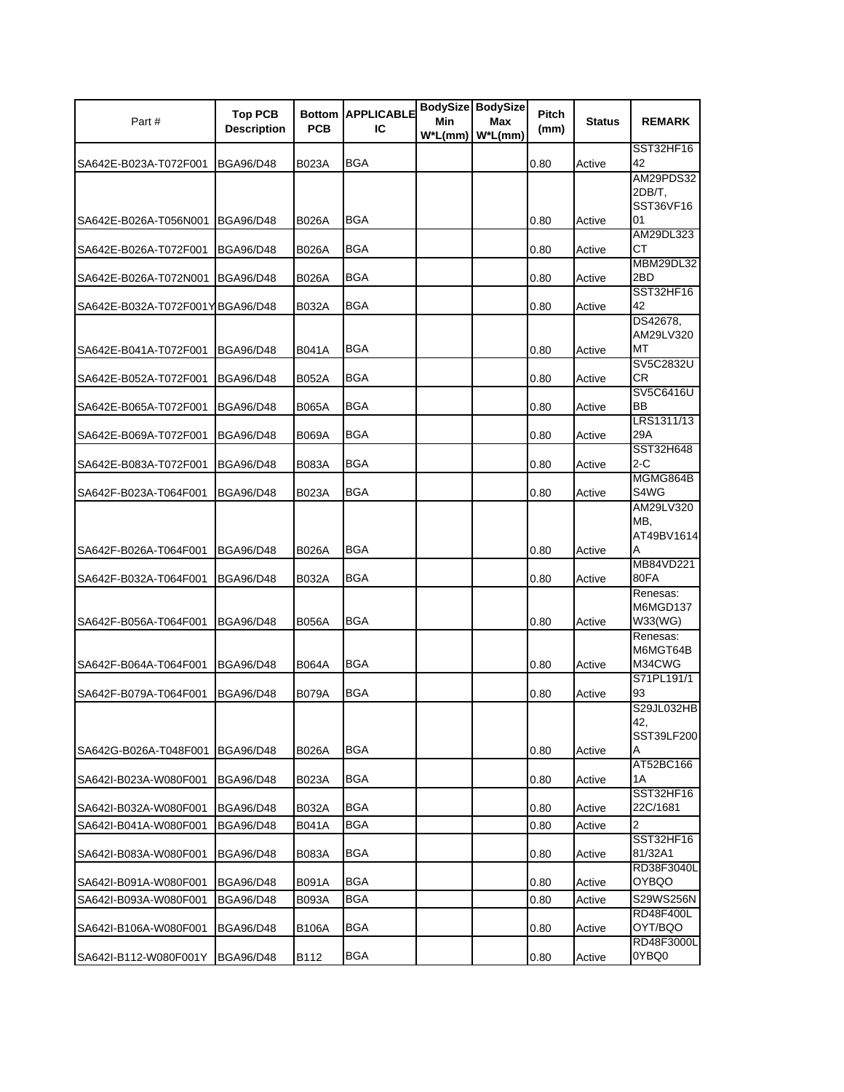| Part#                            | <b>Top PCB</b><br><b>Description</b> | <b>PCB</b>   | <b>Bottom APPLICABLE</b><br>IС | Min<br>$W^*L(mm)$ | <b>BodySize BodySize</b><br>Max<br>$W^*L$ (mm) | Pitch<br>(mm) | <b>Status</b> | <b>REMARK</b>                        |
|----------------------------------|--------------------------------------|--------------|--------------------------------|-------------------|------------------------------------------------|---------------|---------------|--------------------------------------|
| SA642E-B023A-T072F001            | <b>BGA96/D48</b>                     | B023A        | BGA                            |                   |                                                | 0.80          | Active        | SST32HF16<br>42                      |
|                                  |                                      |              |                                |                   |                                                |               |               | AM29PDS32<br>2DB/T.<br>SST36VF16     |
| SA642E-B026A-T056N001            | <b>BGA96/D48</b>                     | B026A        | <b>BGA</b>                     |                   |                                                | 0.80          | Active        | 01                                   |
| SA642E-B026A-T072F001            | <b>BGA96/D48</b>                     | B026A        | <b>BGA</b>                     |                   |                                                | 0.80          | Active        | AM29DL323<br>CТ                      |
| SA642E-B026A-T072N001            | <b>BGA96/D48</b>                     | <b>B026A</b> | BGA                            |                   |                                                | 0.80          | Active        | MBM29DL32<br>2BD                     |
| SA642E-B032A-T072F001YIBGA96/D48 |                                      | B032A        | <b>BGA</b>                     |                   |                                                | 0.80          | Active        | SST32HF16<br>42                      |
| SA642E-B041A-T072F001            | <b>BGA96/D48</b>                     | B041A        | BGA                            |                   |                                                | 0.80          | Active        | DS42678,<br>AM29LV320<br>МT          |
| SA642E-B052A-T072F001            | <b>BGA96/D48</b>                     | B052A        | BGA                            |                   |                                                | 0.80          | Active        | SV5C2832U<br><b>CR</b>               |
| SA642E-B065A-T072F001            | <b>BGA96/D48</b>                     | B065A        | <b>BGA</b>                     |                   |                                                | 0.80          | Active        | SV5C6416U<br>BB                      |
| SA642E-B069A-T072F001            | <b>BGA96/D48</b>                     | B069A        | <b>BGA</b>                     |                   |                                                | 0.80          | Active        | LRS1311/13<br>29A                    |
| SA642E-B083A-T072F001            | <b>BGA96/D48</b>                     | B083A        | <b>BGA</b>                     |                   |                                                | 0.80          | Active        | SST32H648<br>2-C                     |
| SA642F-B023A-T064F001            | <b>BGA96/D48</b>                     | B023A        | BGA                            |                   |                                                | 0.80          | Active        | MGMG864B<br>S4WG                     |
|                                  |                                      |              |                                |                   |                                                |               |               | AM29LV320<br>MB,<br>AT49BV1614       |
| SA642F-B026A-T064F001            | <b>BGA96/D48</b>                     | <b>B026A</b> | BGA                            |                   |                                                | 0.80          | Active        | Α<br>MB84VD221                       |
| SA642F-B032A-T064F001            | <b>BGA96/D48</b>                     | B032A        | BGA                            |                   |                                                | 0.80          | Active        | 80FA<br>Renesas:                     |
| SA642F-B056A-T064F001            | <b>BGA96/D48</b>                     | B056A        | <b>BGA</b>                     |                   |                                                | 0.80          | Active        | M6MGD137<br>W33(WG)                  |
| SA642F-B064A-T064F001            | <b>BGA96/D48</b>                     | <b>B064A</b> | BGA                            |                   |                                                | 0.80          | Active        | Renesas:<br>M6MGT64B<br>M34CWG       |
| SA642F-B079A-T064F001            | <b>BGA96/D48</b>                     | B079A        | BGA                            |                   |                                                | 0.80          | Active        | S71PL191/1<br>93                     |
| SA642G-B026A-T048F001            | <b>BGA96/D48</b>                     | B026A        | BGA                            |                   |                                                | 0.80          | Active        | S29JL032HB<br>42,<br>SST39LF200<br>A |
| SA642I-B023A-W080F001            | <b>BGA96/D48</b>                     | B023A        | BGA                            |                   |                                                | 0.80          | Active        | AT52BC166<br>1Α                      |
| SA642I-B032A-W080F001            | <b>BGA96/D48</b>                     | B032A        | <b>BGA</b>                     |                   |                                                | 0.80          | Active        | SST32HF16<br>22C/1681                |
| SA642I-B041A-W080F001            | <b>BGA96/D48</b>                     | B041A        | BGA                            |                   |                                                | 0.80          | Active        | 2                                    |
| SA642I-B083A-W080F001            | <b>BGA96/D48</b>                     | B083A        | BGA                            |                   |                                                | 0.80          | Active        | SST32HF16<br>81/32A1                 |
| SA642I-B091A-W080F001            | <b>BGA96/D48</b>                     | B091A        | <b>BGA</b>                     |                   |                                                | 0.80          | Active        | RD38F3040L<br>OYBQO                  |
| SA642I-B093A-W080F001            | <b>BGA96/D48</b>                     | B093A        | <b>BGA</b>                     |                   |                                                | 0.80          | Active        | S29WS256N                            |
| SA642I-B106A-W080F001            | <b>BGA96/D48</b>                     | B106A        | BGA                            |                   |                                                | 0.80          | Active        | RD48F400L<br>OYT/BQO                 |
| SA642I-B112-W080F001Y            | <b>BGA96/D48</b>                     | B112         | <b>BGA</b>                     |                   |                                                | 0.80          | Active        | RD48F3000L<br>0YBQ0                  |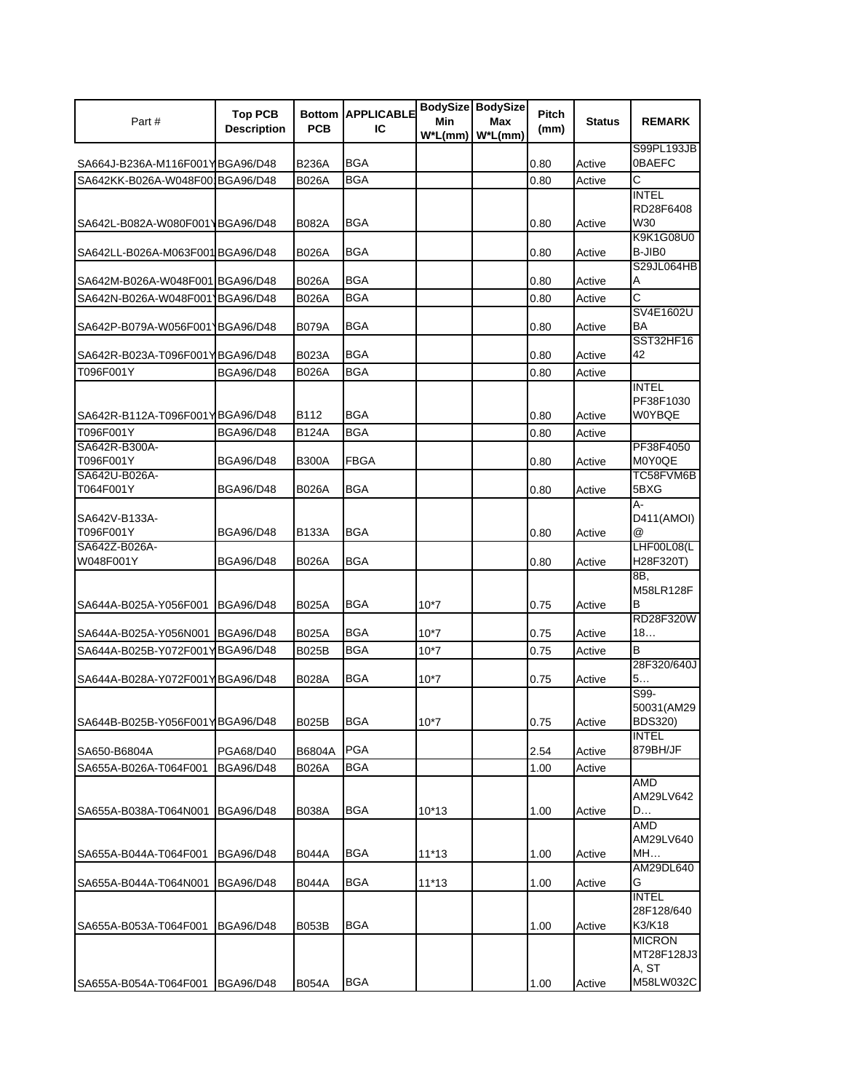| Part#                           | <b>Top PCB</b><br><b>Description</b> | <b>PCB</b>   | <b>Bottom APPLICABLE</b><br>IС | Min<br>$W^*L(mm)$ | BodySize BodySize<br>Max<br>$W^*L$ (mm) | Pitch<br>(mm) | <b>Status</b> | <b>REMARK</b>                |
|---------------------------------|--------------------------------------|--------------|--------------------------------|-------------------|-----------------------------------------|---------------|---------------|------------------------------|
| SA664J-B236A-M116F001YBGA96/D48 |                                      | B236A        | <b>BGA</b>                     |                   |                                         | 0.80          | Active        | S99PL193JB<br>0BAEFC         |
| SA642KK-B026A-W048F00 BGA96/D48 |                                      | <b>B026A</b> | <b>BGA</b>                     |                   |                                         | 0.80          | Active        | Ć                            |
|                                 |                                      |              |                                |                   |                                         |               |               | <b>INTEL</b>                 |
|                                 |                                      |              |                                |                   |                                         |               |               | RD28F6408                    |
| SA642L-B082A-W080F001\BGA96/D48 |                                      | B082A        | <b>BGA</b>                     |                   |                                         | 0.80          | Active        | W30                          |
|                                 |                                      |              |                                |                   |                                         |               |               | K9K1G08U0                    |
| SA642LL-B026A-M063F001BGA96/D48 |                                      | <b>B026A</b> | BGA                            |                   |                                         | 0.80          | Active        | B-JIB0<br>S29JL064HB         |
| SA642M-B026A-W048F001 BGA96/D48 |                                      | B026A        | <b>BGA</b>                     |                   |                                         | 0.80          | Active        | A                            |
| SA642N-B026A-W048F0011BGA96/D48 |                                      | B026A        | <b>BGA</b>                     |                   |                                         | 0.80          | Active        | $\overline{\text{c}}$        |
|                                 |                                      |              |                                |                   |                                         |               |               | SV4E1602U                    |
| SA642P-B079A-W056F0011BGA96/D48 |                                      | <b>B079A</b> | BGA                            |                   |                                         | 0.80          | Active        | BA                           |
|                                 |                                      |              |                                |                   |                                         |               |               | SST32HF16                    |
| SA642R-B023A-T096F001YBGA96/D48 |                                      | B023A        | BGA                            |                   |                                         | 0.80          | Active        | 42                           |
| T096F001Y                       | <b>BGA96/D48</b>                     | B026A        | <b>BGA</b>                     |                   |                                         | 0.80          | Active        |                              |
|                                 |                                      |              |                                |                   |                                         |               |               | <b>INTEL</b><br>PF38F1030    |
| SA642R-B112A-T096F001YBGA96/D48 |                                      | B112         | BGA                            |                   |                                         | 0.80          | Active        | W0YBQE                       |
| T096F001Y                       | <b>BGA96/D48</b>                     | B124A        | BGA                            |                   |                                         | 0.80          | Active        |                              |
| SA642R-B300A-                   |                                      |              |                                |                   |                                         |               |               | PF38F4050                    |
| T096F001Y                       | <b>BGA96/D48</b>                     | <b>B300A</b> | <b>FBGA</b>                    |                   |                                         | 0.80          | Active        | M0Y0QE                       |
| SA642U-B026A-                   |                                      |              |                                |                   |                                         |               |               | TC58FVM6B                    |
| T064F001Y                       | <b>BGA96/D48</b>                     | B026A        | BGA                            |                   |                                         | 0.80          | Active        | 5BXG                         |
| SA642V-B133A-                   |                                      |              |                                |                   |                                         |               |               | А-<br>D411(AMOI)             |
| T096F001Y                       | <b>BGA96/D48</b>                     | B133A        | BGA                            |                   |                                         | 0.80          | Active        | @                            |
| SA642Z-B026A-                   |                                      |              |                                |                   |                                         |               |               | LHF00L08(L                   |
| W048F001Y                       | <b>BGA96/D48</b>                     | B026A        | <b>BGA</b>                     |                   |                                         | 0.80          | Active        | H28F320T)                    |
|                                 |                                      |              |                                |                   |                                         |               |               | 8B,                          |
|                                 |                                      |              |                                |                   |                                         |               |               | M58LR128F                    |
| SA644A-B025A-Y056F001           | <b>BGA96/D48</b>                     | B025A        | <b>BGA</b>                     | $10*7$            |                                         | 0.75          | Active        | В<br>RD28F320W               |
| SA644A-B025A-Y056N001           | <b>BGA96/D48</b>                     | <b>B025A</b> | BGA                            | $10*7$            |                                         | 0.75          | Active        | 18                           |
| SA644A-B025B-Y072F001YBGA96/D48 |                                      | <b>B025B</b> | <b>BGA</b>                     | $10*7$            |                                         | 0.75          | Active        | B                            |
|                                 |                                      |              |                                |                   |                                         |               |               | 28F320/640J                  |
| SA644A-B028A-Y072F001YBGA96/D48 |                                      | B028A        | BGA                            | $10*7$            |                                         | 0.75          | Active        | 5                            |
|                                 |                                      |              |                                |                   |                                         |               |               | S99-                         |
|                                 |                                      |              | <b>BGA</b>                     |                   |                                         |               |               | 50031(AM29<br><b>BDS320)</b> |
| SA644B-B025B-Y056F001YBGA96/D48 |                                      | B025B        |                                | $10*7$            |                                         | 0.75          | Active        | <b>INTEL</b>                 |
| SA650-B6804A                    | PGA68/D40                            | B6804A       | <b>PGA</b>                     |                   |                                         | 2.54          | Active        | 879BH/JF                     |
| SA655A-B026A-T064F001           | <b>BGA96/D48</b>                     | <b>B026A</b> | <b>BGA</b>                     |                   |                                         | 1.00          | Active        |                              |
|                                 |                                      |              |                                |                   |                                         |               |               | <b>AMD</b>                   |
|                                 |                                      |              |                                |                   |                                         |               |               | AM29LV642                    |
| SA655A-B038A-T064N001           | <b>BGA96/D48</b>                     | <b>B038A</b> | <b>BGA</b>                     | $10*13$           |                                         | 1.00          | Active        | D                            |
|                                 |                                      |              |                                |                   |                                         |               |               | AMD<br>AM29LV640             |
| SA655A-B044A-T064F001           | <b>BGA96/D48</b>                     | B044A        | BGA                            | $11*13$           |                                         | 1.00          | Active        | MH                           |
|                                 |                                      |              |                                |                   |                                         |               |               | AM29DL640                    |
| SA655A-B044A-T064N001           | <b>BGA96/D48</b>                     | B044A        | BGA                            | $11*13$           |                                         | 1.00          | Active        | G                            |
|                                 |                                      |              |                                |                   |                                         |               |               | <b>INTEL</b>                 |
|                                 |                                      |              | <b>BGA</b>                     |                   |                                         |               |               | 28F128/640<br>K3/K18         |
| SA655A-B053A-T064F001           | <b>BGA96/D48</b>                     | B053B        |                                |                   |                                         | 1.00          | Active        | <b>MICRON</b>                |
|                                 |                                      |              |                                |                   |                                         |               |               | MT28F128J3                   |
|                                 |                                      |              |                                |                   |                                         |               |               | A, ST                        |
| SA655A-B054A-T064F001           | <b>BGA96/D48</b>                     | <b>B054A</b> | BGA                            |                   |                                         | 1.00          | Active        | M58LW032C                    |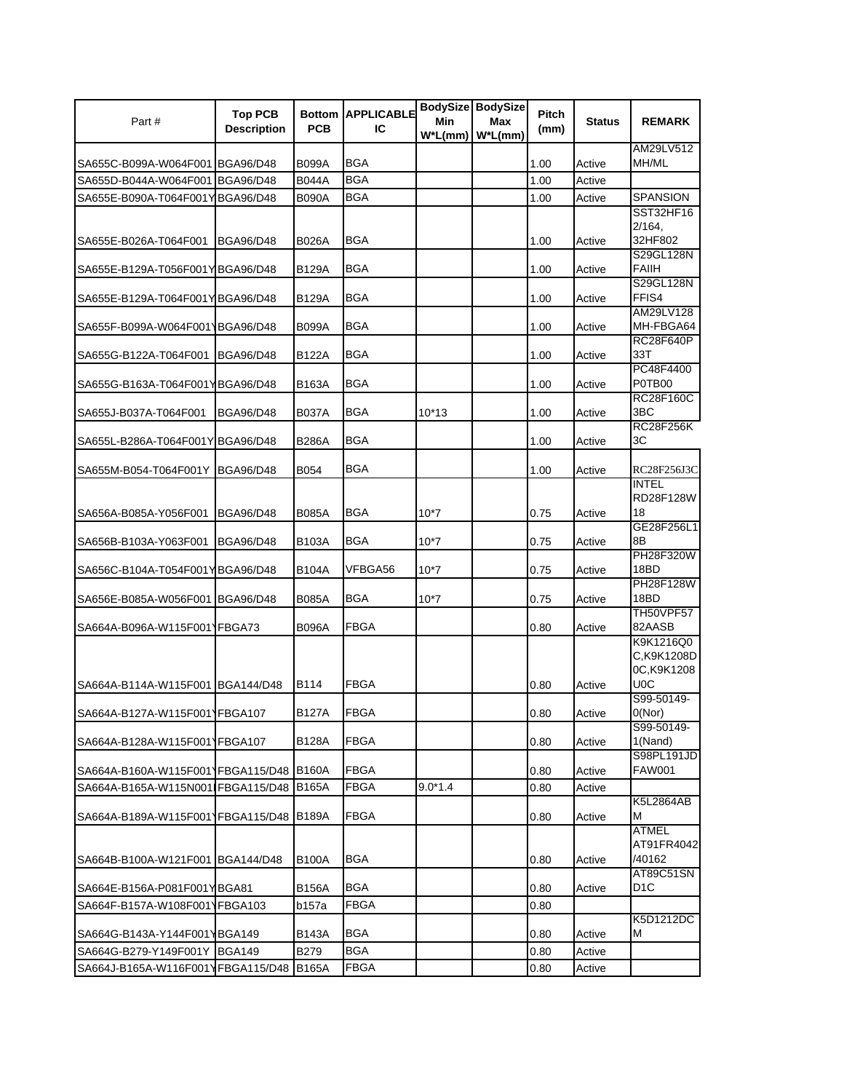| Part#                             | <b>Top PCB</b><br><b>Description</b> | <b>PCB</b>   | <b>Bottom APPLICABLE</b><br>IС | Min<br>$W^*L(mm)$ | <b>BodySize BodySize</b><br>Max<br>$W^*L$ (mm) | Pitch<br>(mm) | <b>Status</b> | <b>REMARK</b>                                |
|-----------------------------------|--------------------------------------|--------------|--------------------------------|-------------------|------------------------------------------------|---------------|---------------|----------------------------------------------|
| SA655C-B099A-W064F001 BGA96/D48   |                                      | <b>B099A</b> | <b>BGA</b>                     |                   |                                                | 1.00          | Active        | AM29LV512<br>MH/ML                           |
| SA655D-B044A-W064F001 BGA96/D48   |                                      | <b>B044A</b> | <b>BGA</b>                     |                   |                                                | 1.00          | Active        |                                              |
| SA655E-B090A-T064F001YBGA96/D48   |                                      | <b>B090A</b> | <b>BGA</b>                     |                   |                                                | 1.00          | Active        | SPANSION                                     |
|                                   |                                      |              |                                |                   |                                                |               |               | <b>SST32HF16</b>                             |
| SA655E-B026A-T064F001             | <b>BGA96/D48</b>                     | B026A        | <b>BGA</b>                     |                   |                                                | 1.00          | Active        | 2/164,<br>32HF802                            |
| SA655E-B129A-T056F001YBGA96/D48   |                                      | B129A        | BGA                            |                   |                                                | 1.00          | Active        | S29GL128N<br><b>FAIIH</b>                    |
| SA655E-B129A-T064F001YBGA96/D48   |                                      | B129A        | BGA                            |                   |                                                | 1.00          | Active        | S29GL128N<br>FFIS4<br>AM29LV128              |
| SA655F-B099A-W064F001 BGA96/D48   |                                      | <b>B099A</b> | BGA                            |                   |                                                | 1.00          | Active        | MH-FBGA64                                    |
| SA655G-B122A-T064F001             | <b>BGA96/D48</b>                     | B122A        | BGA                            |                   |                                                | 1.00          | Active        | RC28F640P<br>33T                             |
| SA655G-B163A-T064F001 BGA96/D48   |                                      | B163A        | <b>BGA</b>                     |                   |                                                | 1.00          | Active        | PC48F4400<br>P0TB00                          |
| SA655J-B037A-T064F001             | <b>BGA96/D48</b>                     | <b>B037A</b> | BGA                            | $10*13$           |                                                | 1.00          | Active        | <b>RC28F160C</b><br>3BC                      |
| SA655L-B286A-T064F001Y BGA96/D48  |                                      | <b>B286A</b> | BGA                            |                   |                                                | 1.00          | Active        | <b>RC28F256K</b><br>ЗC                       |
| SA655M-B054-T064F001Y BGA96/D48   |                                      | B054         | BGA                            |                   |                                                | 1.00          | Active        | RC28F256J3C                                  |
| SA656A-B085A-Y056F001             | <b>BGA96/D48</b>                     | <b>B085A</b> | BGA                            | $10*7$            |                                                | 0.75          | Active        | <b>INTEL</b><br>RD28F128W<br>18              |
| SA656B-B103A-Y063F001             | <b>BGA96/D48</b>                     | B103A        | BGA                            | $10*7$            |                                                | 0.75          | Active        | GE28F256L1<br>8B                             |
| SA656C-B104A-T054F001YBGA96/D48   |                                      | B104A        | VFBGA56                        | $10*7$            |                                                | 0.75          | Active        | PH28F320W<br>18BD                            |
| SA656E-B085A-W056F001 BGA96/D48   |                                      | <b>B085A</b> | BGA                            | $10*7$            |                                                | 0.75          | Active        | PH28F128W<br>18BD                            |
| SA664A-B096A-W115F0011FBGA73      |                                      | B096A        | FBGA                           |                   |                                                | 0.80          | Active        | TH50VPF57<br>82AASB                          |
| SA664A-B114A-W115F001 BGA144/D48  |                                      | B114         | <b>FBGA</b>                    |                   |                                                | 0.80          | Active        | K9K1216Q0<br>C,K9K1208D<br>0C,K9K1208<br>U0C |
| SA664A-B127A-W115F001 FBGA107     |                                      | <b>B127A</b> | <b>FBGA</b>                    |                   |                                                | 0.80          | Active        | S99-50149-<br>O(Nor)                         |
| SA664A-B128A-W115F0011FBGA107     |                                      | B128A        | FBGA                           |                   |                                                | 0.80          | Active        | S99-50149-<br>1(Nand)                        |
| SA664A-B160A-W115F001 FBGA115/D48 |                                      | <b>B160A</b> | <b>FBGA</b>                    |                   |                                                | 0.80          | Active        | S98PL191JD<br><b>FAW001</b>                  |
| SA664A-B165A-W115N001 FBGA115/D48 |                                      | <b>B165A</b> | <b>FBGA</b>                    | $9.0*1.4$         |                                                | 0.80          | Active        |                                              |
| SA664A-B189A-W115F001 FBGA115/D48 |                                      | <b>B189A</b> | <b>FBGA</b>                    |                   |                                                | 0.80          | Active        | <b>K5L2864AB</b><br>м                        |
| SA664B-B100A-W121F001 BGA144/D48  |                                      | B100A        | BGA                            |                   |                                                | 0.80          | Active        | <b>ATMEL</b><br>AT91FR4042<br>/40162         |
| SA664E-B156A-P081F001YBGA81       |                                      | <b>B156A</b> | <b>BGA</b>                     |                   |                                                | 0.80          | Active        | AT89C51SN<br>D1C                             |
| SA664F-B157A-W108F001             | YFBGA103                             | b157a        | FBGA                           |                   |                                                | 0.80          |               |                                              |
| SA664G-B143A-Y144F001 BGA149      |                                      | B143A        | <b>BGA</b>                     |                   |                                                | 0.80          | Active        | K5D1212DC<br>М                               |
| SA664G-B279-Y149F001Y             | <b>BGA149</b>                        | B279         | <b>BGA</b>                     |                   |                                                | 0.80          | Active        |                                              |
| SA664J-B165A-W116F001YFBGA115/D48 |                                      | <b>B165A</b> | <b>FBGA</b>                    |                   |                                                | 0.80          | Active        |                                              |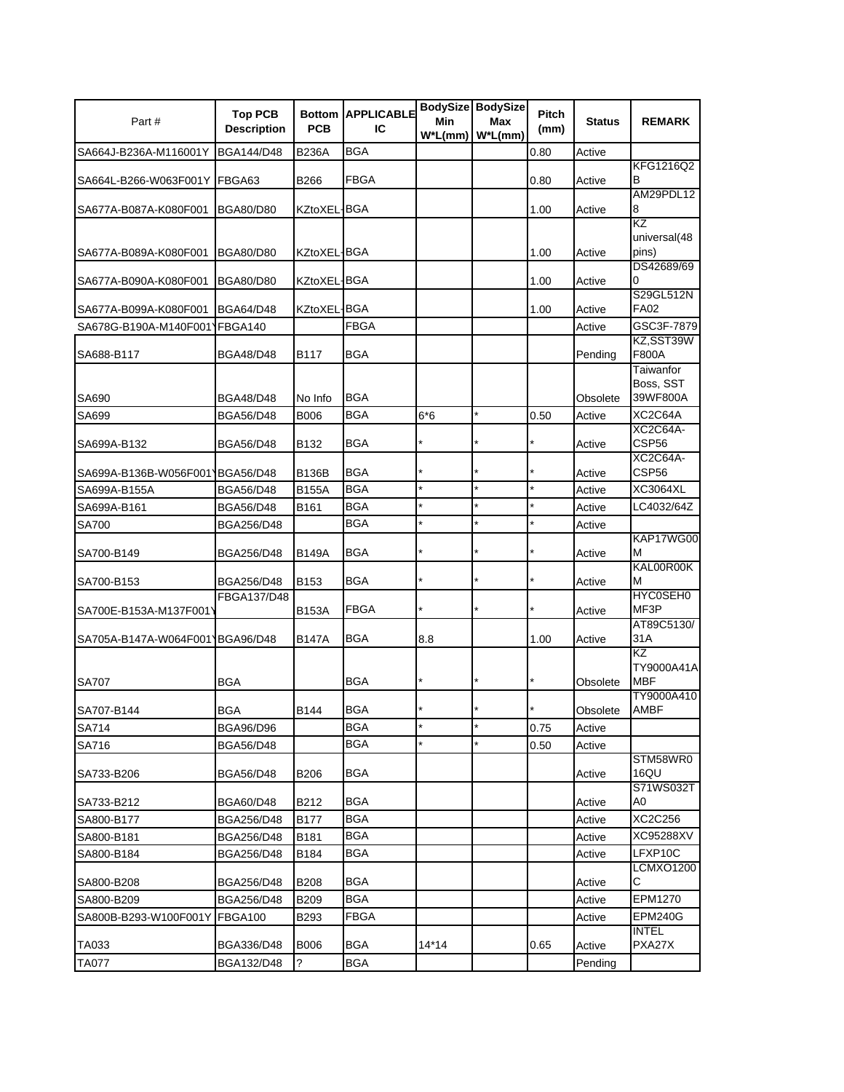| Part#                           | <b>Top PCB</b><br><b>Description</b> | <b>PCB</b>   | <b>Bottom APPLICABLE</b><br>IС | Min<br>$W^*L(mm)$ | BodySize BodySize<br>Max<br>$W^*L(mm)$ | Pitch<br>(mm) | <b>Status</b> | <b>REMARK</b>               |
|---------------------------------|--------------------------------------|--------------|--------------------------------|-------------------|----------------------------------------|---------------|---------------|-----------------------------|
| SA664J-B236A-M116001Y           | <b>BGA144/D48</b>                    | <b>B236A</b> | <b>BGA</b>                     |                   |                                        | 0.80          | Active        |                             |
|                                 |                                      |              |                                |                   |                                        |               |               | KFG1216Q2                   |
| SA664L-B266-W063F001Y           | FBGA63                               | B266         | FBGA                           |                   |                                        | 0.80          | Active        | в<br>AM29PDL12              |
| SA677A-B087A-K080F001           | <b>BGA80/D80</b>                     | KZtoXEL-BGA  |                                |                   |                                        | 1.00          | Active        | 8                           |
|                                 |                                      |              |                                |                   |                                        |               |               | KZ                          |
|                                 |                                      |              |                                |                   |                                        |               |               | universal(48                |
| SA677A-B089A-K080F001           | <b>BGA80/D80</b>                     | KZtoXEL-BGA  |                                |                   |                                        | 1.00          | Active        | pins)                       |
| SA677A-B090A-K080F001           | <b>BGA80/D80</b>                     | KZtoXEL-BGA  |                                |                   |                                        | 1.00          | Active        | DS42689/69<br>0             |
|                                 |                                      |              |                                |                   |                                        |               |               | S29GL512N                   |
| SA677A-B099A-K080F001           | <b>BGA64/D48</b>                     | KZtoXEL-     | <b>BGA</b>                     |                   |                                        | 1.00          | Active        | <b>FA02</b>                 |
| SA678G-B190A-M140F001           | FBGA140                              |              | <b>FBGA</b>                    |                   |                                        |               | Active        | GSC3F-7879                  |
|                                 |                                      | B117         | BGA                            |                   |                                        |               | Pending       | KZ,SST39W<br>F800A          |
| SA688-B117                      | <b>BGA48/D48</b>                     |              |                                |                   |                                        |               |               | Taiwanfor                   |
|                                 |                                      |              |                                |                   |                                        |               |               | Boss, SST                   |
| SA690                           | <b>BGA48/D48</b>                     | No Info      | <b>BGA</b>                     |                   |                                        |               | Obsolete      | 39WF800A                    |
| SA699                           | <b>BGA56/D48</b>                     | B006         | <b>BGA</b>                     | $6*6$             | *                                      | 0.50          | Active        | XC2C64A                     |
|                                 |                                      |              |                                |                   |                                        |               |               | XC2C64A-                    |
| SA699A-B132                     | <b>BGA56/D48</b>                     | B132         | BGA                            |                   |                                        |               | Active        | CSP56<br>XC2C64A-           |
| SA699A-B136B-W056F0011BGA56/D48 |                                      | B136B        | <b>BGA</b>                     |                   |                                        |               | Active        | CSP56                       |
| SA699A-B155A                    | <b>BGA56/D48</b>                     | <b>B155A</b> | BGA                            | $\star$           | $\star$                                |               | Active        | XC3064XL                    |
| SA699A-B161                     | <b>BGA56/D48</b>                     | B161         | <b>BGA</b>                     | $\star$           | $\star$                                |               | Active        | LC4032/64Z                  |
| <b>SA700</b>                    | BGA256/D48                           |              | <b>BGA</b>                     | $\star$           |                                        |               | Active        |                             |
|                                 |                                      |              |                                |                   |                                        |               |               | KAP17WG00                   |
| SA700-B149                      | BGA256/D48                           | <b>B149A</b> | BGA                            | $\star$           |                                        |               | Active        | М<br>KAL00R00K              |
| SA700-B153                      | BGA256/D48                           | B153         | BGA                            | $\star$           |                                        |               | Active        | М                           |
|                                 | FBGA137/D48                          |              |                                |                   |                                        |               |               | HYC0SEH0                    |
| SA700E-B153A-M137F001\          |                                      | <b>B153A</b> | FBGA                           | ×                 |                                        |               | Active        | MF3P                        |
|                                 |                                      |              |                                |                   |                                        |               |               | AT89C5130/                  |
| SA705A-B147A-W064F0011BGA96/D48 |                                      | B147A        | BGA                            | 8.8               |                                        | 1.00          | Active        | 31 A<br>KZ                  |
|                                 |                                      |              |                                |                   |                                        |               |               | TY9000A41A                  |
| <b>SA707</b>                    | <b>BGA</b>                           |              | <b>BGA</b>                     | $\star$           |                                        |               | Obsolete      | <b>MBF</b>                  |
|                                 |                                      |              |                                |                   |                                        |               |               | TY9000A410                  |
| SA707-B144                      | <b>BGA</b>                           | B144         | <b>BGA</b>                     |                   |                                        |               | Obsolete      | <b>AMBF</b>                 |
| SA714                           | <b>BGA96/D96</b>                     |              | <b>BGA</b><br><b>BGA</b>       | $\star$           |                                        | 0.75          | Active        |                             |
| SA716                           | <b>BGA56/D48</b>                     |              |                                |                   |                                        | 0.50          | Active        | STM58WR0                    |
| SA733-B206                      | <b>BGA56/D48</b>                     | B206         | BGA                            |                   |                                        |               | Active        | 16QU                        |
|                                 |                                      |              |                                |                   |                                        |               |               | S71WS032T                   |
| SA733-B212                      | <b>BGA60/D48</b>                     | B212         | <b>BGA</b>                     |                   |                                        |               | Active        | A0                          |
| SA800-B177                      | BGA256/D48                           | <b>B177</b>  | BGA                            |                   |                                        |               | Active        | XC2C256                     |
| SA800-B181                      | BGA256/D48                           | B181         | BGA                            |                   |                                        |               | Active        | XC95288XV                   |
| SA800-B184                      | BGA256/D48                           | B184         | <b>BGA</b>                     |                   |                                        |               | Active        | LFXP10C<br><b>LCMXO1200</b> |
| SA800-B208                      | <b>BGA256/D48</b>                    | B208         | BGA                            |                   |                                        |               | Active        | С                           |
| SA800-B209                      | BGA256/D48                           | B209         | BGA                            |                   |                                        |               | Active        | EPM1270                     |
| SA800B-B293-W100F001Y           | FBGA100                              | B293         | <b>FBGA</b>                    |                   |                                        |               | Active        | <b>EPM240G</b>              |
|                                 |                                      |              |                                |                   |                                        |               |               | <b>INTEL</b>                |
| TA033                           | BGA336/D48                           | B006         | BGA                            | $14*14$           |                                        | 0.65          | Active        | PXA27X                      |
| <b>TA077</b>                    | BGA132/D48                           | ?            | <b>BGA</b>                     |                   |                                        |               | Pending       |                             |